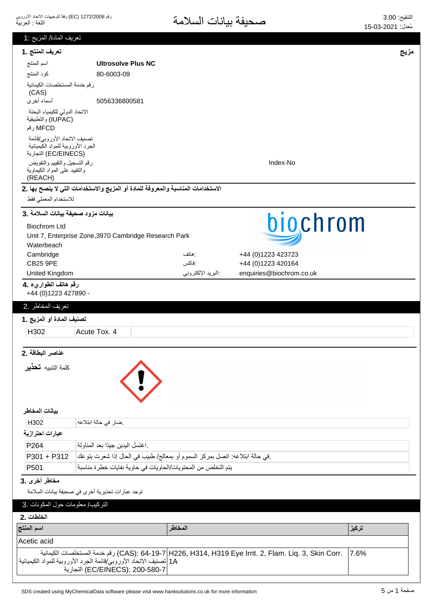| تعريف المادة/ المزيج :1                                                                   |                                                                                                       |                   |                                                                                                     |       |
|-------------------------------------------------------------------------------------------|-------------------------------------------------------------------------------------------------------|-------------------|-----------------------------------------------------------------------------------------------------|-------|
| تعريف المنتج .1                                                                           |                                                                                                       |                   |                                                                                                     | مزيج  |
| اسم المنتج                                                                                | <b>Ultrosolve Plus NC</b>                                                                             |                   |                                                                                                     |       |
| كود المنتج                                                                                | 80-6003-09                                                                                            |                   |                                                                                                     |       |
| رقم خدمة المستخلصات الكيمائية<br>(CAS)                                                    |                                                                                                       |                   |                                                                                                     |       |
| أسماء أخرى                                                                                | 5056336800581                                                                                         |                   |                                                                                                     |       |
| الاتحاد الدولى للكيمياء البحتة<br>(IUPAC) والتطبيقية<br>MFCD رقم                          |                                                                                                       |                   |                                                                                                     |       |
| تصنيف الاتحاد الأوروبي/قائمة<br>الجرد الأوروبية للمواد الكيميائية<br>(EC/EINECS) التجارية |                                                                                                       |                   |                                                                                                     |       |
| رقم التسجيل والتقييم والتفويض<br>والنقييد علمى المواد الكيماوية<br>(REACH)                |                                                                                                       |                   | Index-No                                                                                            |       |
|                                                                                           | الاستخدامات المناسبة والمعروفة للمادة أو المزيج والاستخدامات التي لا ينصح بها .2                      |                   |                                                                                                     |       |
| للاستخدام المعملي فقط                                                                     |                                                                                                       |                   |                                                                                                     |       |
| بيانات مزود صحيفة بيانات السلامة .3                                                       |                                                                                                       |                   |                                                                                                     |       |
| <b>Biochrom Ltd</b>                                                                       |                                                                                                       |                   | biochrom                                                                                            |       |
|                                                                                           | Unit 7, Enterprise Zone, 3970 Cambridge Research Park                                                 |                   |                                                                                                     |       |
| Waterbeach                                                                                |                                                                                                       |                   |                                                                                                     |       |
| Cambridge                                                                                 |                                                                                                       | : هاتف            | +44 (0)1223 423723                                                                                  |       |
| <b>CB25 9PE</b>                                                                           |                                                                                                       | :فاكس             | +44 (0)1223 420164                                                                                  |       |
| United Kingdom                                                                            |                                                                                                       | البريد الإلكتروني | enquiries@biochrom.co.uk                                                                            |       |
| رقم هاتف الطواريء .4<br>+44 (0) 1223 427890 -                                             |                                                                                                       |                   |                                                                                                     |       |
|                                                                                           |                                                                                                       |                   |                                                                                                     |       |
| تعريف المخاطر .2                                                                          |                                                                                                       |                   |                                                                                                     |       |
| تصنيف المادة أو المزيج .1                                                                 |                                                                                                       |                   |                                                                                                     |       |
| H302                                                                                      | Acute Tox. 4                                                                                          |                   |                                                                                                     |       |
| عناصر البطاقة .2                                                                          |                                                                                                       |                   |                                                                                                     |       |
| كلمة التنبيه <b>تحذير</b>                                                                 |                                                                                                       |                   |                                                                                                     |       |
| بيانات المخاطر                                                                            |                                                                                                       |                   |                                                                                                     |       |
| H302                                                                                      | ضار في حالة ابتلاعه                                                                                   |                   |                                                                                                     |       |
| عبارات احترازية                                                                           |                                                                                                       |                   |                                                                                                     |       |
| P264                                                                                      | اغتسل اليدين جيدًا بعد المناولة                                                                       |                   |                                                                                                     |       |
| P301 + P312                                                                               | في حالة ابتلاعه: اتصل بمركز السموم أو بمعالج/ طبيب في الحال إذا شعرت بتوعك                            |                   |                                                                                                     |       |
| P501                                                                                      | يتم التخلص من المحتويات/الحاويات في حاوية نفايات خطرة مناسبة                                          |                   |                                                                                                     |       |
| مخاطر أخرى .3                                                                             |                                                                                                       |                   |                                                                                                     |       |
|                                                                                           | توجد عبارات تحذيرية أخرى في صحيفة بيانات السلامة                                                      |                   |                                                                                                     |       |
| التركيب/ معلومات حول المكونات .3                                                          |                                                                                                       |                   |                                                                                                     |       |
| الخلطات .2                                                                                |                                                                                                       |                   |                                                                                                     |       |
| اسم المنتج                                                                                |                                                                                                       | المخاطر           |                                                                                                     | تركيز |
|                                                                                           |                                                                                                       |                   |                                                                                                     |       |
| Acetic acid                                                                               |                                                                                                       |                   |                                                                                                     |       |
|                                                                                           | 1A  تصنيف الاتحاد الأوروبي/قائمة الجرد الأوروبية للمواد الكيميائية<br>EC/EINECS): 200-580-7) التجارية |                   | .CAS): 64-19-7 H226, H314, H319 Eye Irrit. 2, Flam. Liq. 3, Skin Corr وقم خدمة المستخلصات الكيمائية | 7.6%  |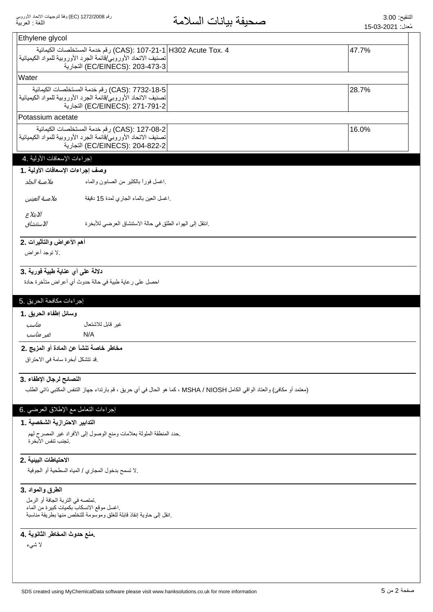| Ethylene glycol                             |                                                                                                                                                                          |       |
|---------------------------------------------|--------------------------------------------------------------------------------------------------------------------------------------------------------------------------|-------|
|                                             | 4 .CAS): 107-21-1  H302 Acute Tox) رقم خدمة المستخلصات الكيمائية<br>تصنيف الاتحاد الأوروبي/قائمة الجرد الأوروبية للمواد الكيميائية  <br>(EC/EINECS): 203-473-3) التجارية | 47.7% |
| <b>Water</b>                                |                                                                                                                                                                          |       |
|                                             | CAS): 7732-18-5) رقم خدمة المستخلصات الكيمائية<br>تصنيف الاتحاد الأوروبي/قائمة الجرد الأوروبية للمواد الكيميائية<br>EC/EINECS): 271-791-2) التجارية                      | 28.7% |
| Potassium acetate                           |                                                                                                                                                                          |       |
|                                             | CAS): 127-08-2) رقم خدمة المستخلصات الكيمائية<br>تصنيف الاتحاد الأوروبي/قائمة الجرد الأوروبية للمواد الكيميائية  <br>EC/EINECS): 204-822-2) التجارية                     | 16.0% |
| إجراءات الإسعافات الأولية .4                |                                                                                                                                                                          |       |
| وصف إجراءات الإسعافات الأولية .1            |                                                                                                                                                                          |       |
| ملامسة الجلد                                | اغسل فورأ بالكثير من الصابون والماء                                                                                                                                      |       |
| ملامسة العينين                              | .اغسل العين بالماء الجاري لمدة 15 دقيقة                                                                                                                                  |       |
| الابتلاع<br>الاستنشاق                       | .انتقل إلى الهواء الطلق في حالة الاستنشاق العرضي للأبخرة                                                                                                                 |       |
| أهم الأعراض والتأثيرات .2<br>.لا توجد أعراض |                                                                                                                                                                          |       |
| دلالة على أي عناية طبية فورية .3            | احصل على رعاية طبية في حالة حدوث أي أعراض متأخرة حادة                                                                                                                    |       |
| إجراءات مكافحة الحريق .5                    |                                                                                                                                                                          |       |
|                                             |                                                                                                                                                                          |       |
| وسائل إطفاء الحريق .1                       |                                                                                                                                                                          |       |
| مناسب                                       | غير قابل للاشتعال                                                                                                                                                        |       |
| غير مناسب                                   | N/A                                                                                                                                                                      |       |
| .قد تتشكل أبخرة سامة في الاحتراق            | مخاطر خاصة تنشأ عن المادة أو المزيج .2                                                                                                                                   |       |
| النصائح لرجال الإطفاء .3                    |                                                                                                                                                                          |       |
|                                             | (معتمد أو مكافئ) والعتاد الواقي الكامل MSHA / NIOSH ، كما هو الحال في أي حريق ، قم بارتداء جهاز التنفس المكتبي ذاتي الطلب                                                |       |
| إجراءات النعامل مع الإطلاق العرضي .6        |                                                                                                                                                                          |       |
| التدابير الاحترازية الشخصية . 1             |                                                                                                                                                                          |       |
| تجنب ننفس الأبخر ة                          | حدد المنطقة الملوثة بعلامات ومنع الوصول إلى الأفراد غير المصرح لهم                                                                                                       |       |
|                                             |                                                                                                                                                                          |       |
| الاحتياطات البينية .2                       | .لا نسمح بدخول المجاري / المياه السطحية أو الجوفية                                                                                                                       |       |
| الطرق والمواد .3                            |                                                                                                                                                                          |       |
| تمتصه في التربة الجافة أو الرمل             | اغسل موقع الانسكاب بكميات كبيرة من الماء<br>إنقل إلى حاوية إنقاذ قابلة للغلق وموسومة للتخلص منها بطريقة مناسبة                                                           |       |
|                                             |                                                                                                                                                                          |       |
| منع حدوث المخاطر الثانوية .4<br>لا شىء      |                                                                                                                                                                          |       |
|                                             |                                                                                                                                                                          |       |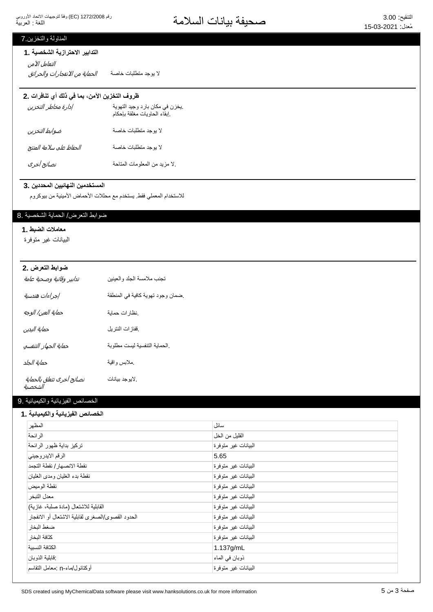# التنقيع: 3.00<br>مُعنان 2001-03-15

## المناولة والتخزين 7

#### التدابير الاحترازية الشخصية .1

لا يوجد منطلبات خاصـة *الحماية من الانفجار ات والحر ائق* التعامل الآمن

## ظروف التخزين الآمن، بما في ذلك أي تنافرات .2

| إدارة مخاطر التخزين     | يخزن في مكان بارد وجيد النهوية<br>إبقاء الحاويات مغلقة بإحكام |
|-------------------------|---------------------------------------------------------------|
| ضوابط التخزين           | لا بوجد متطلبات خاصة                                          |
| الحفاظ على سلامة المنتج | لا بوجد منطلبات خاصة                                          |
| نصائح أخرى              | لا مزيد من المعلومات المتاحة                                  |

#### المستخدمين النهائيين المحددين .3

للاستخدام المعملي فقط يستخدم مع محللات الأحماض الأمينية من بيوكروم

## ضوابط التعرض/ الحماية الشخصية .8

# معاملات الضبط .1

البيانات غير متوفرة

| ضوابط التعرض .2                      |                                  |
|--------------------------------------|----------------------------------|
| تدابير وقائية وصحية عامة             | تجنب ملامسة الجلد والعينين       |
| إجراءات هندسية                       | ضمان وجود تهوية كافية في المنطقة |
| حماية العين/ الوجه                   | نظارات حماية                     |
| حماية اليدين                         | ففازات النتريل                   |
| حماية الجهاز التنفسي                 | الحماية التنفسية ليست مطلوبة     |
| حماية الجلد                          | ملابس واقية                      |
| نصائح أخرى تتعلق بالحماية<br>الشخصية | .لايوجد بيانات                   |

#### الخصائص الفيزيائية والكيميائية .9

#### الخصائص الفيزيائية والكيميائية **.** 1

| المظهر                                            | سائل                 |
|---------------------------------------------------|----------------------|
| الر ائحة                                          | القليل من الخل       |
| تركيز بداية ظهور الرائحة                          | البيانات غير متوفرة  |
| الرقم الايدر وجيني                                | 5.65                 |
| نقطة الانصهار / نقطة التجمد                       | البيانات غير متوفرة  |
| نقطة بدء الغليان ومدى الغليان                     | البيانات غير متوفرة  |
| نقطة الوميض                                       | الىبيانات غير متوفرة |
| معدل التبخر                                       | البيانات غير متوفرة  |
| القابلية للاشتعال (مادة صلبة، غازية)              | البيانات غير متوفرة  |
| الحدود القصوى/الصغرى لقابلية الاشتعال أو الانفجار | البيانات غير متوفرة  |
| ضغط البخار                                        | البيانات غير متوفرة  |
| كثافة البخار                                      | البيانات غير متوفرة  |
| الكثافة النسببة                                   | 1.137g/mL            |
| فابلية الذوبان                                    | ذوبان في الماء       |
| أوكتانول/ماء-n :معامل النقاسم                     | البيانات غير متوفرة  |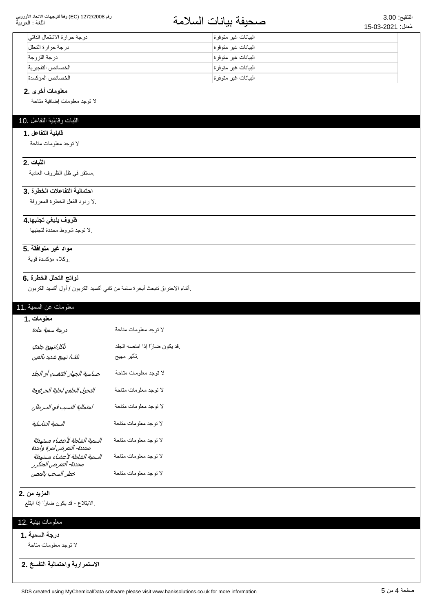#### رقم 1272/2008 (EC) وفقاً لتوجيهات الاتحاد الأوروبي اللغة : العربية

# التنقيع: 3.00<br>مُزار: 15.03-2021

| درجة حرارة الاشتعال الذاتي | البيانات غير متوفرة  |
|----------------------------|----------------------|
| در جة حر ار ة التحلل       | البيانات غير متوفرة  |
| درجة اللزوجة               | البيانات غير متوفر ة |
| الخصائص التفجيرية          | البيانات غير متوفرة  |
| الخصائص المؤكسدة           | البيانات غير متوفرة  |

#### معلومات أخرى .2

لا نوجد معلومات إضافية متاحة

## الثبات وقابلية التفاعل .10

#### قابلية التفاعل .1

لا توجد معلومات متاحة

## **الثبات .2**

مستقر في ظل الظروف العادية

### احتمالية التفاعلات الخطرة .3

لا ردود الفعل الخطرة المعروفة

## ظروف ينبغي تجنبها 4.

۷ توجد شر وط محددة لتجنبها.

#### مواد غير متوافقة .5

وكلاء مؤكسدة قوية.

# نواتج التحلل الخطرة .6

إأثناء الاحتراق تنبعث أبخرة سامة من ثاني أكسيد الكربون / أول أكسيد الكربون

#### معلومات عن السمية .11

| معلومات .1                                                |                                             |
|-----------------------------------------------------------|---------------------------------------------|
| درجة سمية حادة                                            | لا توجد معلومات متاحة                       |
| تآكل/تهيج جلدي<br>ت <i>لف/ تهيج شديد بالعين</i>           | قد يكون ضارًا إذا امتصه الجلد<br>تأثير مهيج |
| حساسية الجهاز التنفسي أو الجلد                            | لا توجد معلومات متاحة                       |
| التحول الخلقي لخلية الجرثومة                              | لا توجد معلومات متاحة                       |
| احتمالية التسبب في السرطان                                | لا توجد معلومات متاحة                       |
| السمية التناسلية                                          | لا توجد معلومات متاحة                       |
| السمية الشاملة لأعضاء مستهدفة<br>محددة- التعرض لمرة واحدة | لا توجد معلومات متاحة                       |
| السمية الشاملة لأعضاء مستهدفة<br>محددة- التعرض المتكرر    | لا توجد معلومات متاحة                       |
| خطر السحب بالمص                                           | لا نوجد معلومات مناحة                       |

#### **المزيد من 2.**

الابتلاع - قد يكون ضارًا إذا ابتلع.

## معلومات بيئية .12

### **درجة السمية .1**

لا توجد معلومات متاحة

الاستمرارية واحتمالية التفسخ .2